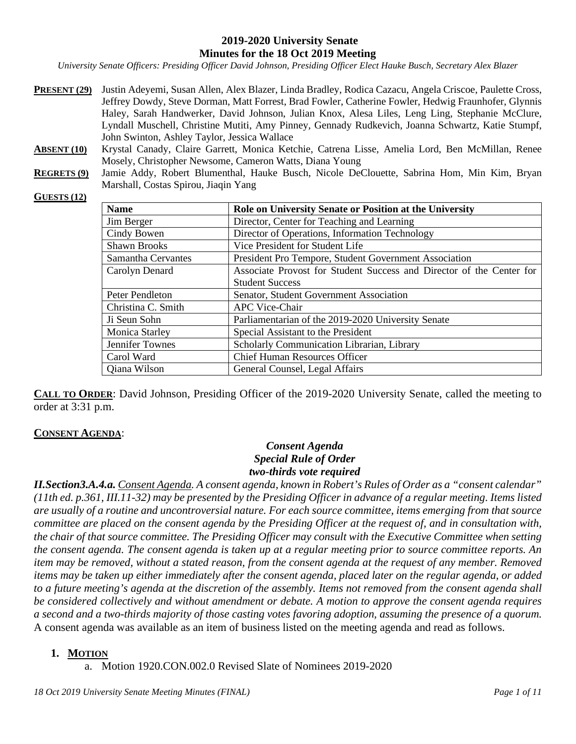#### **2019-2020 University Senate Minutes for the 18 Oct 2019 Meeting**

*University Senate Officers: Presiding Officer David Johnson, Presiding Officer Elect Hauke Busch, Secretary Alex Blazer*

- **PRESENT (29)** Justin Adeyemi, Susan Allen, Alex Blazer, Linda Bradley, Rodica Cazacu, Angela Criscoe, Paulette Cross, Jeffrey Dowdy, Steve Dorman, Matt Forrest, Brad Fowler, Catherine Fowler, Hedwig Fraunhofer, Glynnis Haley, Sarah Handwerker, David Johnson, Julian Knox, Alesa Liles, Leng Ling, Stephanie McClure, Lyndall Muschell, Christine Mutiti, Amy Pinney, Gennady Rudkevich, Joanna Schwartz, Katie Stumpf, John Swinton, Ashley Taylor, Jessica Wallace
- **ABSENT (10)** Krystal Canady, Claire Garrett, Monica Ketchie, Catrena Lisse, Amelia Lord, Ben McMillan, Renee Mosely, Christopher Newsome, Cameron Watts, Diana Young
- **REGRETS (9)** Jamie Addy, Robert Blumenthal, Hauke Busch, Nicole DeClouette, Sabrina Hom, Min Kim, Bryan Marshall, Costas Spirou, Jiaqin Yang

#### **GUESTS (12)**

| <b>Name</b>           | Role on University Senate or Position at the University              |
|-----------------------|----------------------------------------------------------------------|
| Jim Berger            | Director, Center for Teaching and Learning                           |
| Cindy Bowen           | Director of Operations, Information Technology                       |
| <b>Shawn Brooks</b>   | Vice President for Student Life                                      |
| Samantha Cervantes    | President Pro Tempore, Student Government Association                |
| Carolyn Denard        | Associate Provost for Student Success and Director of the Center for |
|                       | <b>Student Success</b>                                               |
| Peter Pendleton       | Senator, Student Government Association                              |
| Christina C. Smith    | <b>APC Vice-Chair</b>                                                |
| Ji Seun Sohn          | Parliamentarian of the 2019-2020 University Senate                   |
| <b>Monica Starley</b> | Special Assistant to the President                                   |
| Jennifer Townes       | Scholarly Communication Librarian, Library                           |
| Carol Ward            | <b>Chief Human Resources Officer</b>                                 |
| Qiana Wilson          | General Counsel, Legal Affairs                                       |

**CALL TO ORDER**: David Johnson, Presiding Officer of the 2019-2020 University Senate, called the meeting to order at 3:31 p.m.

#### **CONSENT AGENDA**:

### *Consent Agenda Special Rule of Order two-thirds vote required*

*II.Section3.A.4.a. Consent Agenda. A consent agenda, known in Robert's Rules of Order as a "consent calendar" (11th ed. p.361, III.11-32) may be presented by the Presiding Officer in advance of a regular meeting. Items listed are usually of a routine and uncontroversial nature. For each source committee, items emerging from that source committee are placed on the consent agenda by the Presiding Officer at the request of, and in consultation with, the chair of that source committee. The Presiding Officer may consult with the Executive Committee when setting the consent agenda. The consent agenda is taken up at a regular meeting prior to source committee reports. An item may be removed, without a stated reason, from the consent agenda at the request of any member. Removed items may be taken up either immediately after the consent agenda, placed later on the regular agenda, or added to a future meeting's agenda at the discretion of the assembly. Items not removed from the consent agenda shall be considered collectively and without amendment or debate. A motion to approve the consent agenda requires a second and a two-thirds majority of those casting votes favoring adoption, assuming the presence of a quorum.* A consent agenda was available as an item of business listed on the meeting agenda and read as follows.

#### **1. MOTION**

a. Motion 1920.CON.002.0 Revised Slate of Nominees 2019-2020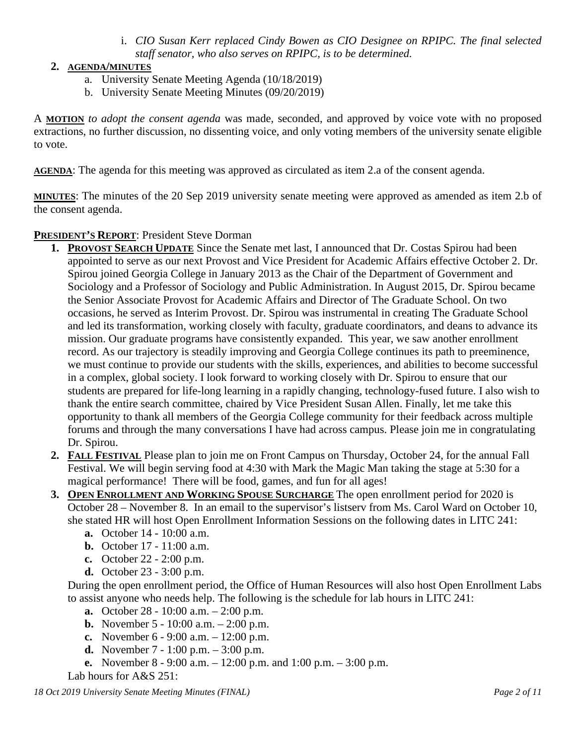i. *CIO Susan Kerr replaced Cindy Bowen as CIO Designee on RPIPC. The final selected staff senator, who also serves on RPIPC, is to be determined.*

### **2. AGENDA/MINUTES**

- a. University Senate Meeting Agenda (10/18/2019)
- b. University Senate Meeting Minutes (09/20/2019)

A **MOTION** *to adopt the consent agenda* was made, seconded, and approved by voice vote with no proposed extractions, no further discussion, no dissenting voice, and only voting members of the university senate eligible to vote.

**AGENDA**: The agenda for this meeting was approved as circulated as item 2.a of the consent agenda.

**MINUTES**: The minutes of the 20 Sep 2019 university senate meeting were approved as amended as item 2.b of the consent agenda.

### **PRESIDENT'S REPORT**: President Steve Dorman

- **1. PROVOST SEARCH UPDATE** Since the Senate met last, I announced that Dr. Costas Spirou had been appointed to serve as our next Provost and Vice President for Academic Affairs effective October 2. Dr. Spirou joined Georgia College in January 2013 as the Chair of the Department of Government and Sociology and a Professor of Sociology and Public Administration. In August 2015, Dr. Spirou became the Senior Associate Provost for Academic Affairs and Director of The Graduate School. On two occasions, he served as Interim Provost. Dr. Spirou was instrumental in creating The Graduate School and led its transformation, working closely with faculty, graduate coordinators, and deans to advance its mission. Our graduate programs have consistently expanded. This year, we saw another enrollment record. As our trajectory is steadily improving and Georgia College continues its path to preeminence, we must continue to provide our students with the skills, experiences, and abilities to become successful in a complex, global society. I look forward to working closely with Dr. Spirou to ensure that our students are prepared for life-long learning in a rapidly changing, technology-fused future. I also wish to thank the entire search committee, chaired by Vice President Susan Allen. Finally, let me take this opportunity to thank all members of the Georgia College community for their feedback across multiple forums and through the many conversations I have had across campus. Please join me in congratulating Dr. Spirou.
- **2. FALL FESTIVAL** Please plan to join me on Front Campus on Thursday, October 24, for the annual Fall Festival. We will begin serving food at 4:30 with Mark the Magic Man taking the stage at 5:30 for a magical performance! There will be food, games, and fun for all ages!
- **3. OPEN ENROLLMENT AND WORKING SPOUSE SURCHARGE** The open enrollment period for 2020 is October 28 – November 8. In an email to the supervisor's listserv from Ms. Carol Ward on October 10, she stated HR will host Open Enrollment Information Sessions on the following dates in LITC 241:
	- **a.** October 14 10:00 a.m.
	- **b.** October 17 11:00 a.m.
	- **c.** October 22 2:00 p.m.
	- **d.** October 23 3:00 p.m.

During the open enrollment period, the Office of Human Resources will also host Open Enrollment Labs to assist anyone who needs help. The following is the schedule for lab hours in LITC 241:

- **a.** October 28 10:00 a.m. 2:00 p.m.
- **b.** November 5 10:00 a.m. 2:00 p.m.
- **c.** November 6 9:00 a.m. 12:00 p.m.
- **d.** November 7 1:00 p.m. 3:00 p.m.
- **e.** November 8 9:00 a.m. 12:00 p.m. and 1:00 p.m. 3:00 p.m.

Lab hours for A&S 251: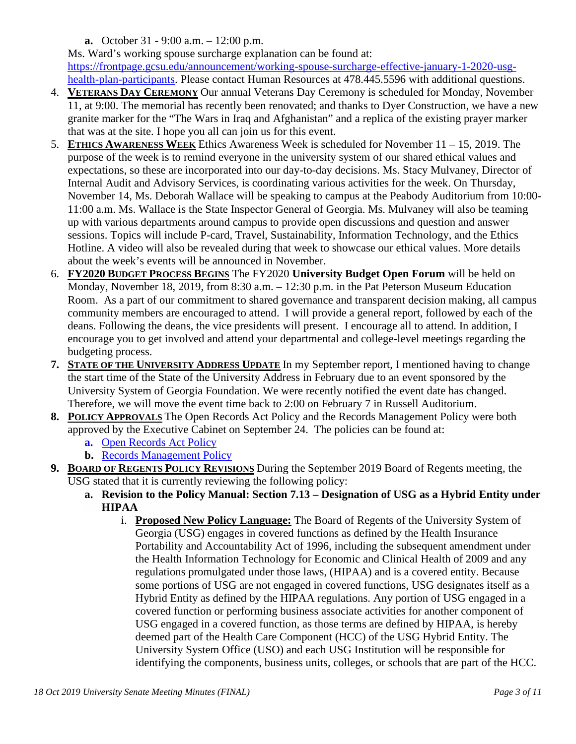**a.** October 31 - 9:00 a.m. – 12:00 p.m.

Ms. Ward's working spouse surcharge explanation can be found at: [https://frontpage.gcsu.edu/announcement/working-spouse-surcharge-effective-january-1-2020-usg](https://frontpage.gcsu.edu/announcement/working-spouse-surcharge-effective-january-1-2020-usg-health-plan-participants)[health-plan-participants.](https://frontpage.gcsu.edu/announcement/working-spouse-surcharge-effective-january-1-2020-usg-health-plan-participants) Please contact Human Resources at 478.445.5596 with additional questions.

- 4. **VETERANS DAY CEREMONY** Our annual Veterans Day Ceremony is scheduled for Monday, November 11, at 9:00. The memorial has recently been renovated; and thanks to Dyer Construction, we have a new granite marker for the "The Wars in Iraq and Afghanistan" and a replica of the existing prayer marker that was at the site. I hope you all can join us for this event.
- 5. **ETHICS AWARENESS WEEK** Ethics Awareness Week is scheduled for November 11 15, 2019. The purpose of the week is to remind everyone in the university system of our shared ethical values and expectations, so these are incorporated into our day-to-day decisions. Ms. Stacy Mulvaney, Director of Internal Audit and Advisory Services, is coordinating various activities for the week. On Thursday, November 14, Ms. Deborah Wallace will be speaking to campus at the Peabody Auditorium from 10:00- 11:00 a.m. Ms. Wallace is the State Inspector General of Georgia. Ms. Mulvaney will also be teaming up with various departments around campus to provide open discussions and question and answer sessions. Topics will include P-card, Travel, Sustainability, Information Technology, and the Ethics Hotline. A video will also be revealed during that week to showcase our ethical values. More details about the week's events will be announced in November.
- 6. **FY2020 BUDGET PROCESS BEGINS** The FY2020 **University Budget Open Forum** will be held on Monday, November 18, 2019, from 8:30 a.m. – 12:30 p.m. in the Pat Peterson Museum Education Room. As a part of our commitment to shared governance and transparent decision making, all campus community members are encouraged to attend. I will provide a general report, followed by each of the deans. Following the deans, the vice presidents will present. I encourage all to attend. In addition, I encourage you to get involved and attend your departmental and college-level meetings regarding the budgeting process.
- **7. STATE OF THE UNIVERSITY ADDRESS UPDATE** In my September report, I mentioned having to change the start time of the State of the University Address in February due to an event sponsored by the University System of Georgia Foundation. We were recently notified the event date has changed. Therefore, we will move the event time back to 2:00 on February 7 in Russell Auditorium.
- **8. POLICY APPROVALS** The Open Records Act Policy and the Records Management Policy were both approved by the Executive Cabinet on September 24. The policies can be found at:
	- **a.** [Open Records Act Policy](http://gcsu.smartcatalogiq.com/Policy-Manual/Policy-Manual/Campus-Affairs/Open-Records-Act-Policy)
	- **b.** [Records Management Policy](http://gcsu.smartcatalogiq.com/Policy-Manual/Policy-Manual/Campus-Affairs/Records-Management-Policy)
- **9. BOARD OF REGENTS POLICY REVISIONS** During the September 2019 Board of Regents meeting, the USG stated that it is currently reviewing the following policy:
	- **a. Revision to the Policy Manual: Section 7.13 – Designation of USG as a Hybrid Entity under HIPAA**
		- i. **Proposed New Policy Language:** The Board of Regents of the University System of Georgia (USG) engages in covered functions as defined by the Health Insurance Portability and Accountability Act of 1996, including the subsequent amendment under the Health Information Technology for Economic and Clinical Health of 2009 and any regulations promulgated under those laws, (HIPAA) and is a covered entity. Because some portions of USG are not engaged in covered functions, USG designates itself as a Hybrid Entity as defined by the HIPAA regulations. Any portion of USG engaged in a covered function or performing business associate activities for another component of USG engaged in a covered function, as those terms are defined by HIPAA, is hereby deemed part of the Health Care Component (HCC) of the USG Hybrid Entity. The University System Office (USO) and each USG Institution will be responsible for identifying the components, business units, colleges, or schools that are part of the HCC.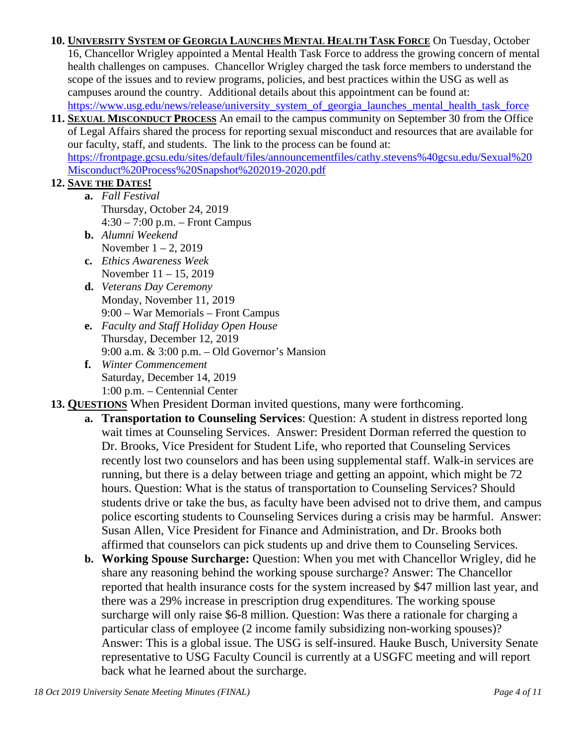**10. UNIVERSITY SYSTEM OF GEORGIA LAUNCHES MENTAL HEALTH TASK FORCE** On Tuesday, October 16, Chancellor Wrigley appointed a Mental Health Task Force to address the growing concern of mental health challenges on campuses. Chancellor Wrigley charged the task force members to understand the scope of the issues and to review programs, policies, and best practices within the USG as well as campuses around the country. Additional details about this appointment can be found at: https://www.usg.edu/news/release/university\_system\_of\_georgia\_launches\_mental\_health\_task\_force

**11. SEXUAL MISCONDUCT PROCESS** An email to the campus community on September 30 from the Office of Legal Affairs shared the process for reporting sexual misconduct and resources that are available for our faculty, staff, and students. The link to the process can be found at: [https://frontpage.gcsu.edu/sites/default/files/announcementfiles/cathy.stevens%40gcsu.edu/Sexual%20](https://frontpage.gcsu.edu/sites/default/files/announcementfiles/cathy.stevens%40gcsu.edu/Sexual%20Misconduct%20Process%20Snapshot%202019-2020.pdf) [Misconduct%20Process%20Snapshot%202019-2020.pdf](https://frontpage.gcsu.edu/sites/default/files/announcementfiles/cathy.stevens%40gcsu.edu/Sexual%20Misconduct%20Process%20Snapshot%202019-2020.pdf)

## **12. SAVE THE DATES!**

- **a.** *Fall Festival* Thursday, October 24, 2019 4:30 – 7:00 p.m. – Front Campus
- **b.** *Alumni Weekend* November  $1 - 2$ , 2019
- **c.** *Ethics Awareness Week* November 11 – 15, 2019
- **d.** *Veterans Day Ceremony* Monday, November 11, 2019 9:00 – War Memorials – Front Campus
- **e.** *Faculty and Staff Holiday Open House* Thursday, December 12, 2019 9:00 a.m. & 3:00 p.m. – Old Governor's Mansion
- **f.** *Winter Commencement* Saturday, December 14, 2019 1:00 p.m. – Centennial Center

# **13. QUESTIONS** When President Dorman invited questions, many were forthcoming.

- **a. Transportation to Counseling Services**: Question: A student in distress reported long wait times at Counseling Services. Answer: President Dorman referred the question to Dr. Brooks, Vice President for Student Life, who reported that Counseling Services recently lost two counselors and has been using supplemental staff. Walk-in services are running, but there is a delay between triage and getting an appoint, which might be 72 hours. Question: What is the status of transportation to Counseling Services? Should students drive or take the bus, as faculty have been advised not to drive them, and campus police escorting students to Counseling Services during a crisis may be harmful. Answer: Susan Allen, Vice President for Finance and Administration, and Dr. Brooks both affirmed that counselors can pick students up and drive them to Counseling Services.
- **b. Working Spouse Surcharge:** Question: When you met with Chancellor Wrigley, did he share any reasoning behind the working spouse surcharge? Answer: The Chancellor reported that health insurance costs for the system increased by \$47 million last year, and there was a 29% increase in prescription drug expenditures. The working spouse surcharge will only raise \$6-8 million. Question: Was there a rationale for charging a particular class of employee (2 income family subsidizing non-working spouses)? Answer: This is a global issue. The USG is self-insured. Hauke Busch, University Senate representative to USG Faculty Council is currently at a USGFC meeting and will report back what he learned about the surcharge.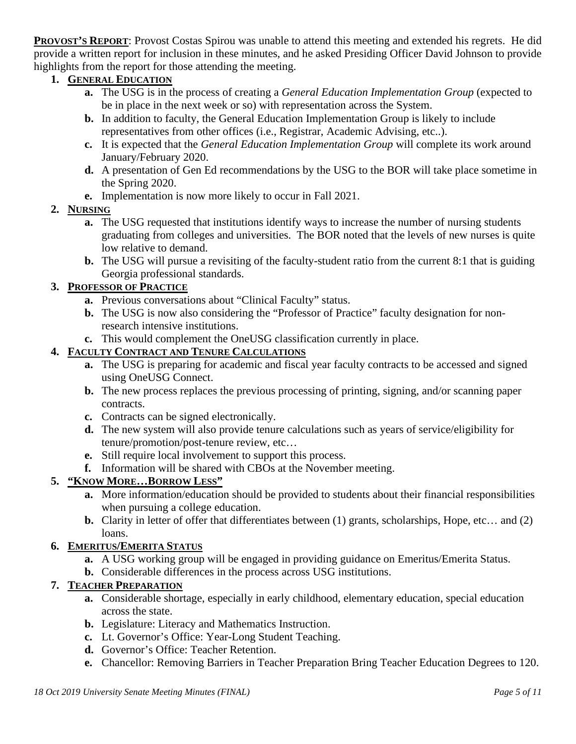**PROVOST'S REPORT**: Provost Costas Spirou was unable to attend this meeting and extended his regrets. He did provide a written report for inclusion in these minutes, and he asked Presiding Officer David Johnson to provide highlights from the report for those attending the meeting.

# **1. GENERAL EDUCATION**

- **a.** The USG is in the process of creating a *General Education Implementation Group* (expected to be in place in the next week or so) with representation across the System.
- **b.** In addition to faculty, the General Education Implementation Group is likely to include representatives from other offices (i.e., Registrar, Academic Advising, etc..).
- **c.** It is expected that the *General Education Implementation Group* will complete its work around January/February 2020.
- **d.** A presentation of Gen Ed recommendations by the USG to the BOR will take place sometime in the Spring 2020.
- **e.** Implementation is now more likely to occur in Fall 2021.

## **2. NURSING**

- **a.** The USG requested that institutions identify ways to increase the number of nursing students graduating from colleges and universities. The BOR noted that the levels of new nurses is quite low relative to demand.
- **b.** The USG will pursue a revisiting of the faculty-student ratio from the current 8:1 that is guiding Georgia professional standards.

## **3. PROFESSOR OF PRACTICE**

- **a.** Previous conversations about "Clinical Faculty" status.
- **b.** The USG is now also considering the "Professor of Practice" faculty designation for nonresearch intensive institutions.
- **c.** This would complement the OneUSG classification currently in place.

## **4. FACULTY CONTRACT AND TENURE CALCULATIONS**

- **a.** The USG is preparing for academic and fiscal year faculty contracts to be accessed and signed using OneUSG Connect.
- **b.** The new process replaces the previous processing of printing, signing, and/or scanning paper contracts.
- **c.** Contracts can be signed electronically.
- **d.** The new system will also provide tenure calculations such as years of service/eligibility for tenure/promotion/post-tenure review, etc…
- **e.** Still require local involvement to support this process.
- **f.** Information will be shared with CBOs at the November meeting.

# **5. "KNOW MORE…BORROW LESS"**

- **a.** More information/education should be provided to students about their financial responsibilities when pursuing a college education.
- **b.** Clarity in letter of offer that differentiates between (1) grants, scholarships, Hope, etc… and (2) loans.

### **6. EMERITUS/EMERITA STATUS**

- **a.** A USG working group will be engaged in providing guidance on Emeritus/Emerita Status.
- **b.** Considerable differences in the process across USG institutions.

# **7. TEACHER PREPARATION**

- **a.** Considerable shortage, especially in early childhood, elementary education, special education across the state.
- **b.** Legislature: Literacy and Mathematics Instruction.
- **c.** Lt. Governor's Office: Year-Long Student Teaching.
- **d.** Governor's Office: Teacher Retention.
- **e.** Chancellor: Removing Barriers in Teacher Preparation Bring Teacher Education Degrees to 120.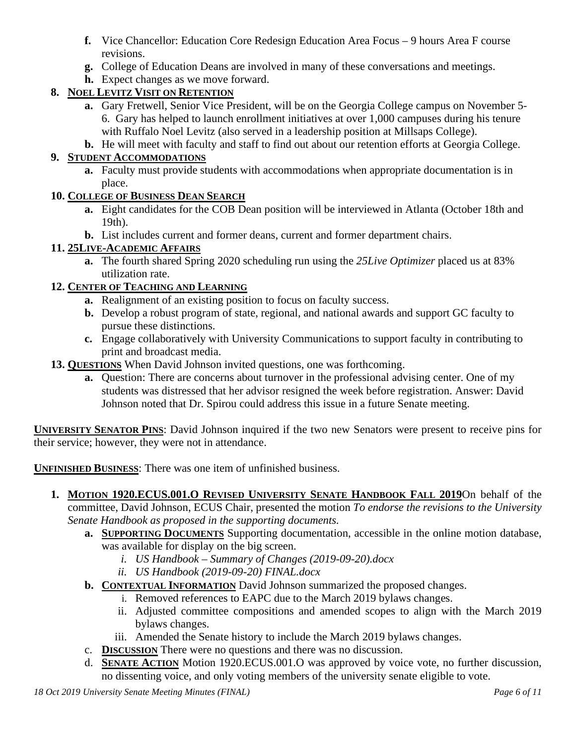- **f.** Vice Chancellor: Education Core Redesign Education Area Focus 9 hours Area F course revisions.
- **g.** College of Education Deans are involved in many of these conversations and meetings.
- **h.** Expect changes as we move forward.

# **8. NOEL LEVITZ VISIT ON RETENTION**

- **a.** Gary Fretwell, Senior Vice President, will be on the Georgia College campus on November 5- 6. Gary has helped to launch enrollment initiatives at over 1,000 campuses during his tenure with Ruffalo Noel Levitz (also served in a leadership position at Millsaps College).
- **b.** He will meet with faculty and staff to find out about our retention efforts at Georgia College.

# **9. STUDENT ACCOMMODATIONS**

**a.** Faculty must provide students with accommodations when appropriate documentation is in place.

## **10. COLLEGE OF BUSINESS DEAN SEARCH**

- **a.** Eight candidates for the COB Dean position will be interviewed in Atlanta (October 18th and 19th).
- **b.** List includes current and former deans, current and former department chairs.

# **11. 25LIVE-ACADEMIC AFFAIRS**

**a.** The fourth shared Spring 2020 scheduling run using the *25Live Optimizer* placed us at 83% utilization rate.

## **12. CENTER OF TEACHING AND LEARNING**

- **a.** Realignment of an existing position to focus on faculty success.
- **b.** Develop a robust program of state, regional, and national awards and support GC faculty to pursue these distinctions.
- **c.** Engage collaboratively with University Communications to support faculty in contributing to print and broadcast media.
- **13. QUESTIONS** When David Johnson invited questions, one was forthcoming.
	- **a.** Question: There are concerns about turnover in the professional advising center. One of my students was distressed that her advisor resigned the week before registration. Answer: David Johnson noted that Dr. Spirou could address this issue in a future Senate meeting.

**UNIVERSITY SENATOR PINS**: David Johnson inquired if the two new Senators were present to receive pins for their service; however, they were not in attendance.

**UNFINISHED BUSINESS**: There was one item of unfinished business.

- **1. MOTION 1920.ECUS.001.O REVISED UNIVERSITY SENATE HANDBOOK FALL 2019**On behalf of the committee, David Johnson, ECUS Chair, presented the motion *To endorse the revisions to the University Senate Handbook as proposed in the supporting documents.*
	- **a. SUPPORTING DOCUMENTS** Supporting documentation, accessible in the online motion database, was available for display on the big screen.
		- *i. US Handbook – Summary of Changes (2019-09-20).docx*
		- *ii. US Handbook (2019-09-20) FINAL.docx*
	- **b. CONTEXTUAL INFORMATION** David Johnson summarized the proposed changes.
		- i. Removed references to EAPC due to the March 2019 bylaws changes.
			- ii. Adjusted committee compositions and amended scopes to align with the March 2019 bylaws changes.
		- iii. Amended the Senate history to include the March 2019 bylaws changes.
	- c. **DISCUSSION** There were no questions and there was no discussion.
	- d. **SENATE ACTION** Motion 1920.ECUS.001.O was approved by voice vote, no further discussion, no dissenting voice, and only voting members of the university senate eligible to vote.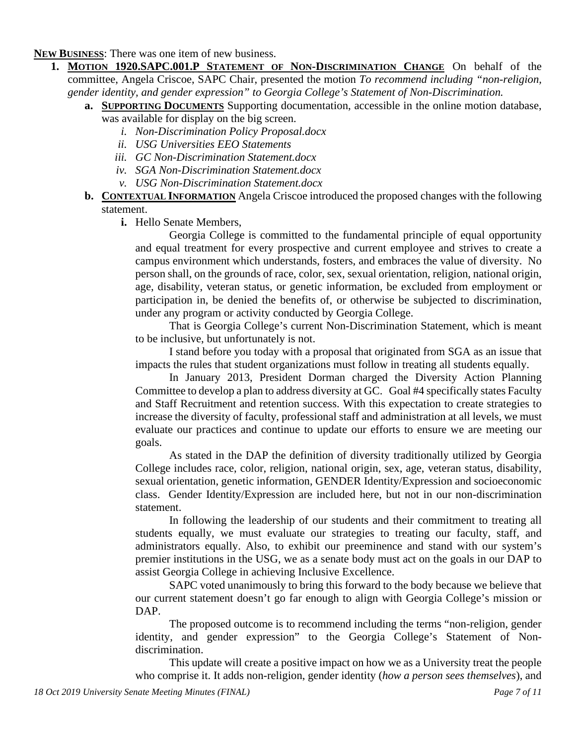**NEW BUSINESS**: There was one item of new business.

- **1. MOTION 1920.SAPC.001.P STATEMENT OF NON-DISCRIMINATION CHANGE** On behalf of the committee, Angela Criscoe, SAPC Chair, presented the motion *To recommend including "non-religion, gender identity, and gender expression" to Georgia College's Statement of Non-Discrimination.*
	- **a. SUPPORTING DOCUMENTS** Supporting documentation, accessible in the online motion database, was available for display on the big screen.
		- *i. Non-Discrimination Policy Proposal.docx*
		- *ii. USG Universities EEO Statements*
		- *iii. GC Non-Discrimination Statement.docx*
		- *iv. SGA Non-Discrimination Statement.docx*
		- *v. USG Non-Discrimination Statement.docx*
	- **b. CONTEXTUAL INFORMATION** Angela Criscoe introduced the proposed changes with the following statement.
		- **i.** Hello Senate Members,

Georgia College is committed to the fundamental principle of equal opportunity and equal treatment for every prospective and current employee and strives to create a campus environment which understands, fosters, and embraces the value of diversity. No person shall, on the grounds of race, color, sex, sexual orientation, religion, national origin, age, disability, veteran status, or genetic information, be excluded from employment or participation in, be denied the benefits of, or otherwise be subjected to discrimination, under any program or activity conducted by Georgia College.

That is Georgia College's current Non-Discrimination Statement, which is meant to be inclusive, but unfortunately is not.

I stand before you today with a proposal that originated from SGA as an issue that impacts the rules that student organizations must follow in treating all students equally.

In January 2013, President Dorman charged the Diversity Action Planning Committee to develop a plan to address diversity at GC. Goal #4 specifically states Faculty and Staff Recruitment and retention success. With this expectation to create strategies to increase the diversity of faculty, professional staff and administration at all levels, we must evaluate our practices and continue to update our efforts to ensure we are meeting our goals.

As stated in the DAP the definition of diversity traditionally utilized by Georgia College includes race, color, religion, national origin, sex, age, veteran status, disability, sexual orientation, genetic information, GENDER Identity/Expression and socioeconomic class. Gender Identity/Expression are included here, but not in our non-discrimination statement.

In following the leadership of our students and their commitment to treating all students equally, we must evaluate our strategies to treating our faculty, staff, and administrators equally. Also, to exhibit our preeminence and stand with our system's premier institutions in the USG, we as a senate body must act on the goals in our DAP to assist Georgia College in achieving Inclusive Excellence.

SAPC voted unanimously to bring this forward to the body because we believe that our current statement doesn't go far enough to align with Georgia College's mission or DAP.

The proposed outcome is to recommend including the terms "non-religion, gender identity, and gender expression" to the Georgia College's Statement of Nondiscrimination.

This update will create a positive impact on how we as a University treat the people who comprise it. It adds non-religion, gender identity (*how a person sees themselves*), and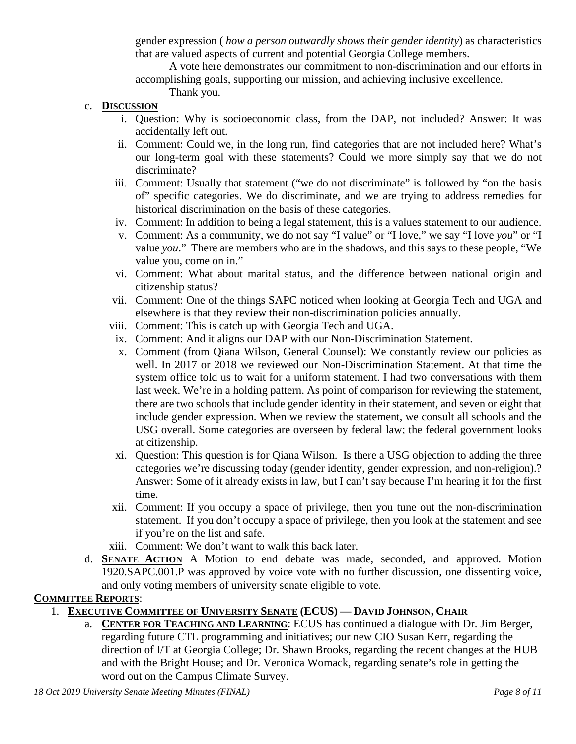gender expression ( *how a person outwardly shows their gender identity*) as characteristics that are valued aspects of current and potential Georgia College members.

A vote here demonstrates our commitment to non-discrimination and our efforts in accomplishing goals, supporting our mission, and achieving inclusive excellence.

Thank you.

- c. **DISCUSSION**
	- i. Question: Why is socioeconomic class, from the DAP, not included? Answer: It was accidentally left out.
	- ii. Comment: Could we, in the long run, find categories that are not included here? What's our long-term goal with these statements? Could we more simply say that we do not discriminate?
	- iii. Comment: Usually that statement ("we do not discriminate" is followed by "on the basis of" specific categories. We do discriminate, and we are trying to address remedies for historical discrimination on the basis of these categories.
	- iv. Comment: In addition to being a legal statement, this is a values statement to our audience.
	- v. Comment: As a community, we do not say "I value" or "I love," we say "I love *you*" or "I value *you*." There are members who are in the shadows, and this says to these people, "We value you, come on in."
	- vi. Comment: What about marital status, and the difference between national origin and citizenship status?
	- vii. Comment: One of the things SAPC noticed when looking at Georgia Tech and UGA and elsewhere is that they review their non-discrimination policies annually.
	- viii. Comment: This is catch up with Georgia Tech and UGA.
	- ix. Comment: And it aligns our DAP with our Non-Discrimination Statement.
	- x. Comment (from Qiana Wilson, General Counsel): We constantly review our policies as well. In 2017 or 2018 we reviewed our Non-Discrimination Statement. At that time the system office told us to wait for a uniform statement. I had two conversations with them last week. We're in a holding pattern. As point of comparison for reviewing the statement, there are two schools that include gender identity in their statement, and seven or eight that include gender expression. When we review the statement, we consult all schools and the USG overall. Some categories are overseen by federal law; the federal government looks at citizenship.
	- xi. Question: This question is for Qiana Wilson. Is there a USG objection to adding the three categories we're discussing today (gender identity, gender expression, and non-religion).? Answer: Some of it already exists in law, but I can't say because I'm hearing it for the first time.
	- xii. Comment: If you occupy a space of privilege, then you tune out the non-discrimination statement. If you don't occupy a space of privilege, then you look at the statement and see if you're on the list and safe.
	- xiii. Comment: We don't want to walk this back later.
- d. **SENATE ACTION** A Motion to end debate was made, seconded, and approved. Motion 1920.SAPC.001.P was approved by voice vote with no further discussion, one dissenting voice, and only voting members of university senate eligible to vote.

### **COMMITTEE REPORTS**:

- 1. **EXECUTIVE COMMITTEE OF UNIVERSITY SENATE (ECUS) — DAVID JOHNSON, CHAIR**
	- a. **CENTER FOR TEACHING AND LEARNING**: ECUS has continued a dialogue with Dr. Jim Berger, regarding future CTL programming and initiatives; our new CIO Susan Kerr, regarding the direction of I/T at Georgia College; Dr. Shawn Brooks, regarding the recent changes at the HUB and with the Bright House; and Dr. Veronica Womack, regarding senate's role in getting the word out on the Campus Climate Survey.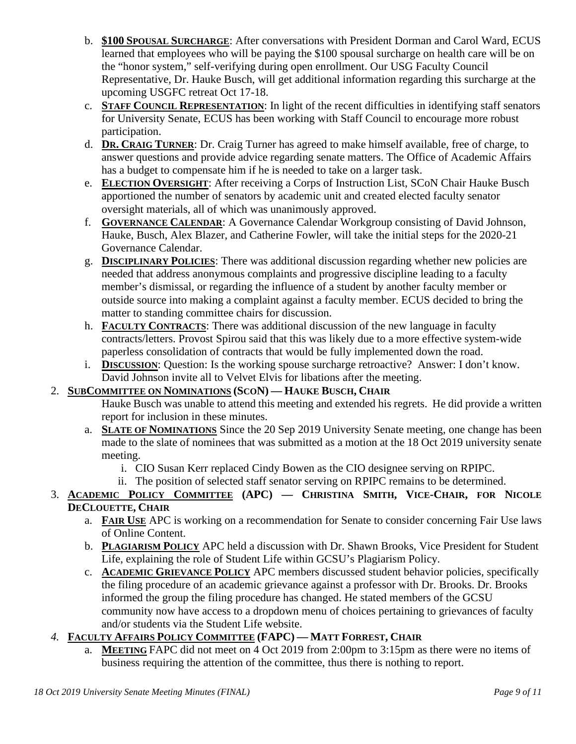- b. **\$100 SPOUSAL SURCHARGE**: After conversations with President Dorman and Carol Ward, ECUS learned that employees who will be paying the \$100 spousal surcharge on health care will be on the "honor system," self-verifying during open enrollment. Our USG Faculty Council Representative, Dr. Hauke Busch, will get additional information regarding this surcharge at the upcoming USGFC retreat Oct 17-18.
- c. **STAFF COUNCIL REPRESENTATION**: In light of the recent difficulties in identifying staff senators for University Senate, ECUS has been working with Staff Council to encourage more robust participation.
- d. **DR. CRAIG TURNER**: Dr. Craig Turner has agreed to make himself available, free of charge, to answer questions and provide advice regarding senate matters. The Office of Academic Affairs has a budget to compensate him if he is needed to take on a larger task.
- e. **ELECTION OVERSIGHT**: After receiving a Corps of Instruction List, SCoN Chair Hauke Busch apportioned the number of senators by academic unit and created elected faculty senator oversight materials, all of which was unanimously approved.
- f. **GOVERNANCE CALENDAR**: A Governance Calendar Workgroup consisting of David Johnson, Hauke, Busch, Alex Blazer, and Catherine Fowler, will take the initial steps for the 2020-21 Governance Calendar.
- g. **DISCIPLINARY POLICIES**: There was additional discussion regarding whether new policies are needed that address anonymous complaints and progressive discipline leading to a faculty member's dismissal, or regarding the influence of a student by another faculty member or outside source into making a complaint against a faculty member. ECUS decided to bring the matter to standing committee chairs for discussion.
- h. **FACULTY CONTRACTS**: There was additional discussion of the new language in faculty contracts/letters. Provost Spirou said that this was likely due to a more effective system-wide paperless consolidation of contracts that would be fully implemented down the road.
- i. **DISCUSSION**: Question: Is the working spouse surcharge retroactive? Answer: I don't know. David Johnson invite all to Velvet Elvis for libations after the meeting.

# 2. **SUBCOMMITTEE ON NOMINATIONS (SCON) — HAUKE BUSCH, CHAIR**

- Hauke Busch was unable to attend this meeting and extended his regrets. He did provide a written report for inclusion in these minutes.
- a. **SLATE OF NOMINATIONS** Since the 20 Sep 2019 University Senate meeting, one change has been made to the slate of nominees that was submitted as a motion at the 18 Oct 2019 university senate meeting.
	- i. CIO Susan Kerr replaced Cindy Bowen as the CIO designee serving on RPIPC.
	- ii. The position of selected staff senator serving on RPIPC remains to be determined.

# 3. **ACADEMIC POLICY COMMITTEE (APC) — CHRISTINA SMITH, VICE-CHAIR, FOR NICOLE DECLOUETTE, CHAIR**

- a. **FAIR USE** APC is working on a recommendation for Senate to consider concerning Fair Use laws of Online Content.
- b. **PLAGIARISM POLICY** APC held a discussion with Dr. Shawn Brooks, Vice President for Student Life, explaining the role of Student Life within GCSU's Plagiarism Policy.
- c. **ACADEMIC GRIEVANCE POLICY** APC members discussed student behavior policies, specifically the filing procedure of an academic grievance against a professor with Dr. Brooks. Dr. Brooks informed the group the filing procedure has changed. He stated members of the GCSU community now have access to a dropdown menu of choices pertaining to grievances of faculty and/or students via the Student Life website.

# *4.* **FACULTY AFFAIRS POLICY COMMITTEE (FAPC) — MATT FORREST, CHAIR**

a. **MEETING** FAPC did not meet on 4 Oct 2019 from 2:00pm to 3:15pm as there were no items of business requiring the attention of the committee, thus there is nothing to report.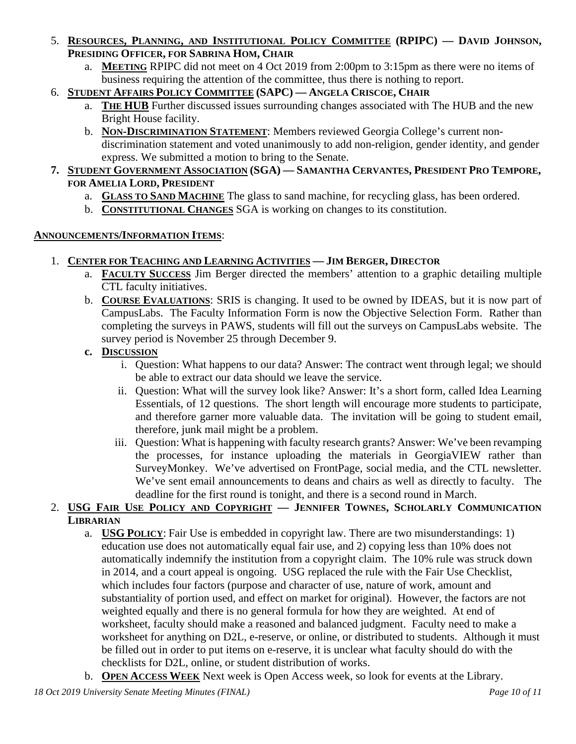- 5. **RESOURCES, PLANNING, AND INSTITUTIONAL POLICY COMMITTEE (RPIPC) — DAVID JOHNSON, PRESIDING OFFICER, FOR SABRINA HOM, CHAIR**
	- a. **MEETING** RPIPC did not meet on 4 Oct 2019 from 2:00pm to 3:15pm as there were no items of business requiring the attention of the committee, thus there is nothing to report.
- 6. **STUDENT AFFAIRS POLICY COMMITTEE (SAPC) — ANGELA CRISCOE, CHAIR**
	- a. **THE HUB** Further discussed issues surrounding changes associated with The HUB and the new Bright House facility.
	- b. **NON-DISCRIMINATION STATEMENT**: Members reviewed Georgia College's current nondiscrimination statement and voted unanimously to add non-religion, gender identity, and gender express. We submitted a motion to bring to the Senate.
- **7. STUDENT GOVERNMENT ASSOCIATION (SGA) — SAMANTHA CERVANTES, PRESIDENT PRO TEMPORE, FOR AMELIA LORD, PRESIDENT**
	- a. **GLASS TO SAND MACHINE** The glass to sand machine, for recycling glass, has been ordered.
	- b. **CONSTITUTIONAL CHANGES** SGA is working on changes to its constitution.

### **ANNOUNCEMENTS/INFORMATION ITEMS**:

- 1. **CENTER FOR TEACHING AND LEARNING ACTIVITIES — JIM BERGER, DIRECTOR**
	- a. **FACULTY SUCCESS** Jim Berger directed the members' attention to a graphic detailing multiple CTL faculty initiatives.
	- b. **COURSE EVALUATIONS**: SRIS is changing. It used to be owned by IDEAS, but it is now part of CampusLabs. The Faculty Information Form is now the Objective Selection Form. Rather than completing the surveys in PAWS, students will fill out the surveys on CampusLabs website. The survey period is November 25 through December 9.
	- **c. DISCUSSION**
		- i. Question: What happens to our data? Answer: The contract went through legal; we should be able to extract our data should we leave the service.
		- ii. Question: What will the survey look like? Answer: It's a short form, called Idea Learning Essentials, of 12 questions. The short length will encourage more students to participate, and therefore garner more valuable data. The invitation will be going to student email, therefore, junk mail might be a problem.
		- iii. Question: What is happening with faculty research grants? Answer: We've been revamping the processes, for instance uploading the materials in GeorgiaVIEW rather than SurveyMonkey. We've advertised on FrontPage, social media, and the CTL newsletter. We've sent email announcements to deans and chairs as well as directly to faculty. The deadline for the first round is tonight, and there is a second round in March.

# 2. **USG FAIR USE POLICY AND COPYRIGHT — JENNIFER TOWNES, SCHOLARLY COMMUNICATION LIBRARIAN**

- a. **USG POLICY**: Fair Use is embedded in copyright law. There are two misunderstandings: 1) education use does not automatically equal fair use, and 2) copying less than 10% does not automatically indemnify the institution from a copyright claim. The 10% rule was struck down in 2014, and a court appeal is ongoing. USG replaced the rule with the Fair Use Checklist, which includes four factors (purpose and character of use, nature of work, amount and substantiality of portion used, and effect on market for original). However, the factors are not weighted equally and there is no general formula for how they are weighted. At end of worksheet, faculty should make a reasoned and balanced judgment. Faculty need to make a worksheet for anything on D2L, e-reserve, or online, or distributed to students. Although it must be filled out in order to put items on e-reserve, it is unclear what faculty should do with the checklists for D2L, online, or student distribution of works.
- b. **OPEN ACCESS WEEK** Next week is Open Access week, so look for events at the Library.